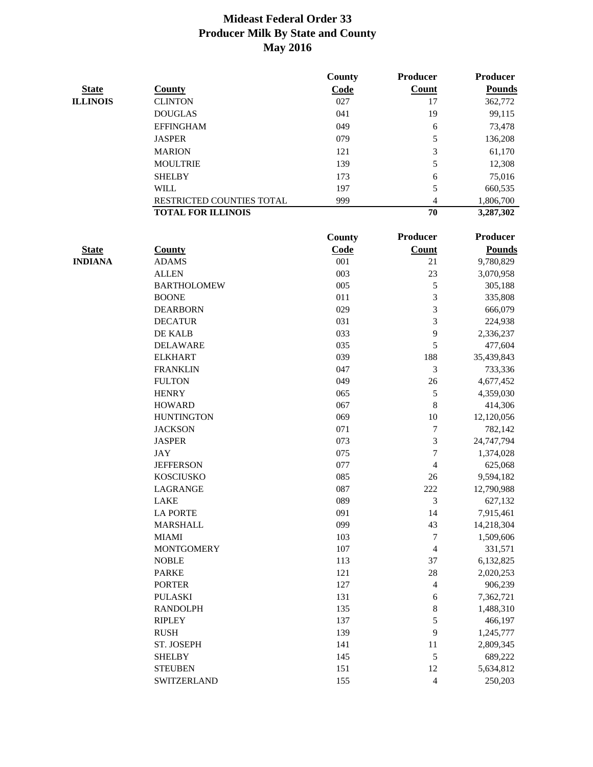|                 |                           | County  | Producer         | <b>Producer</b> |
|-----------------|---------------------------|---------|------------------|-----------------|
| <b>State</b>    | <b>County</b>             | Code    | <b>Count</b>     | <b>Pounds</b>   |
| <b>ILLINOIS</b> | <b>CLINTON</b>            | 027     | 17               | 362,772         |
|                 | <b>DOUGLAS</b>            | 041     | 19               | 99,115          |
|                 | <b>EFFINGHAM</b>          | 049     | 6                | 73,478          |
|                 | <b>JASPER</b>             | 079     | 5                | 136,208         |
|                 | <b>MARION</b>             | 121     | 3                | 61,170          |
|                 | <b>MOULTRIE</b>           | 139     | 5                | 12,308          |
|                 | <b>SHELBY</b>             | 173     | 6                | 75,016          |
|                 | <b>WILL</b>               | 197     | 5                | 660,535         |
|                 | RESTRICTED COUNTIES TOTAL | 999     | $\overline{4}$   | 1,806,700       |
|                 | <b>TOTAL FOR ILLINOIS</b> |         | 70               | 3,287,302       |
|                 |                           |         |                  |                 |
|                 |                           | County  | Producer         | <b>Producer</b> |
| <b>State</b>    | <b>County</b>             | Code    | <b>Count</b>     | <b>Pounds</b>   |
| <b>INDIANA</b>  | <b>ADAMS</b>              | 001     | 21               | 9,780,829       |
|                 | <b>ALLEN</b>              | 003     | 23               | 3,070,958       |
|                 | <b>BARTHOLOMEW</b>        | 005     | 5                | 305,188         |
|                 | <b>BOONE</b>              | 011     | 3                | 335,808         |
|                 | <b>DEARBORN</b>           | 029     | 3                | 666,079         |
|                 | <b>DECATUR</b>            | 031     | 3                | 224,938         |
|                 | DE KALB                   | 033     | 9                | 2,336,237       |
|                 | <b>DELAWARE</b>           | 035     | 5                | 477,604         |
|                 | <b>ELKHART</b>            | 039     | 188              | 35,439,843      |
|                 | <b>FRANKLIN</b>           | 047     | 3                | 733,336         |
|                 | <b>FULTON</b>             | 049     | 26               | 4,677,452       |
|                 | <b>HENRY</b>              | 065     | $\sqrt{5}$       | 4,359,030       |
|                 | <b>HOWARD</b>             | 067     | 8                | 414,306         |
|                 | <b>HUNTINGTON</b>         | 069     | 10               | 12,120,056      |
|                 | <b>JACKSON</b>            | 071     | $\tau$           | 782,142         |
|                 | <b>JASPER</b>             | 073     | 3                | 24,747,794      |
|                 | <b>JAY</b>                | 075     | $\tau$           | 1,374,028       |
|                 | <b>JEFFERSON</b>          | 077     | 4                | 625,068         |
|                 | <b>KOSCIUSKO</b>          | 085     | 26               | 9,594,182       |
|                 | <b>LAGRANGE</b>           | 087     | 222              | 12,790,988      |
|                 | <b>LAKE</b>               | 089     | 3                | 627,132         |
|                 | <b>LA PORTE</b>           | 091     | 14               | 7,915,461       |
|                 | <b>MARSHALL</b>           | 099     | 43               | 14,218,304      |
|                 | <b>MIAMI</b>              | 103     | $\boldsymbol{7}$ | 1,509,606       |
|                 | <b>MONTGOMERY</b>         | $107\,$ | $\overline{4}$   | 331,571         |
|                 | <b>NOBLE</b>              | 113     | 37               | 6,132,825       |
|                 | <b>PARKE</b>              | 121     | 28               | 2,020,253       |
|                 | <b>PORTER</b>             | 127     | $\overline{4}$   | 906,239         |
|                 | <b>PULASKI</b>            | 131     | 6                | 7,362,721       |
|                 | <b>RANDOLPH</b>           | 135     | $\,8\,$          | 1,488,310       |
|                 | <b>RIPLEY</b>             | 137     | 5                | 466,197         |
|                 | <b>RUSH</b>               | 139     | 9                | 1,245,777       |
|                 | ST. JOSEPH                | 141     | 11               | 2,809,345       |
|                 | <b>SHELBY</b>             | 145     | $\sqrt{5}$       | 689,222         |
|                 | <b>STEUBEN</b>            | 151     | 12               | 5,634,812       |
|                 | SWITZERLAND               | 155     | $\overline{4}$   | 250,203         |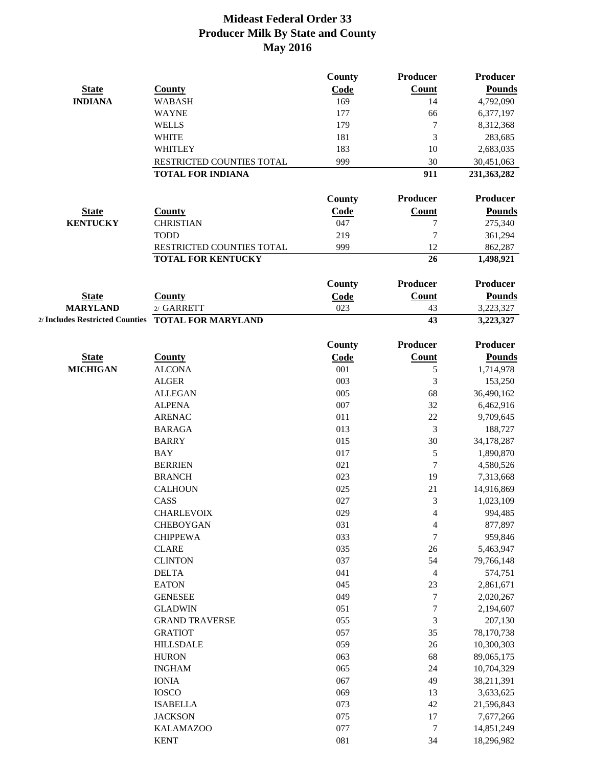|                 |                                                    | County        | Producer         | <b>Producer</b> |
|-----------------|----------------------------------------------------|---------------|------------------|-----------------|
| <b>State</b>    | <b>County</b>                                      | Code          | Count            | <b>Pounds</b>   |
| <b>INDIANA</b>  | <b>WABASH</b>                                      | 169           | 14               | 4,792,090       |
|                 | <b>WAYNE</b>                                       | 177           | 66               | 6,377,197       |
|                 | <b>WELLS</b>                                       | 179           | $\tau$           | 8,312,368       |
|                 | <b>WHITE</b>                                       | 181           | 3                | 283,685         |
|                 | WHITLEY                                            | 183           | 10               | 2,683,035       |
|                 | RESTRICTED COUNTIES TOTAL                          | 999           | 30               | 30,451,063      |
|                 | <b>TOTAL FOR INDIANA</b>                           |               | 911              | 231, 363, 282   |
|                 |                                                    |               |                  |                 |
|                 |                                                    | County        | Producer         | <b>Producer</b> |
| <b>State</b>    | <b>County</b>                                      | <b>Code</b>   | Count            | <b>Pounds</b>   |
| <b>KENTUCKY</b> | <b>CHRISTIAN</b>                                   | 047           | 7                | 275,340         |
|                 | <b>TODD</b>                                        | 219           | 7                | 361,294         |
|                 | RESTRICTED COUNTIES TOTAL                          | 999           | 12               | 862,287         |
|                 | <b>TOTAL FOR KENTUCKY</b>                          |               | 26               | 1,498,921       |
|                 |                                                    | <b>County</b> | <b>Producer</b>  | <b>Producer</b> |
| <b>State</b>    | <b>County</b>                                      | Code          | <b>Count</b>     | <b>Pounds</b>   |
| <b>MARYLAND</b> | 2/ GARRETT                                         | 023           | 43               | 3,223,327       |
|                 | 2/ Includes Restricted Counties TOTAL FOR MARYLAND |               | 43               | 3,223,327       |
|                 |                                                    |               |                  |                 |
|                 |                                                    | County        | Producer         | <b>Producer</b> |
| <b>State</b>    | <b>County</b>                                      | Code          | <b>Count</b>     | <b>Pounds</b>   |
| <b>MICHIGAN</b> | <b>ALCONA</b>                                      | 001           | 5                | 1,714,978       |
|                 | <b>ALGER</b>                                       | 003           | 3                | 153,250         |
|                 | <b>ALLEGAN</b>                                     | 005           | 68               | 36,490,162      |
|                 | <b>ALPENA</b>                                      | 007           | 32               | 6,462,916       |
|                 | <b>ARENAC</b>                                      | 011           | 22               | 9,709,645       |
|                 | <b>BARAGA</b>                                      | 013           | 3                | 188,727         |
|                 | <b>BARRY</b>                                       | 015           | 30               | 34,178,287      |
|                 | <b>BAY</b>                                         | 017           | 5                | 1,890,870       |
|                 | <b>BERRIEN</b>                                     | 021           | $\tau$           | 4,580,526       |
|                 | <b>BRANCH</b>                                      | 023           | 19               | 7,313,668       |
|                 | <b>CALHOUN</b>                                     | 025           | 21               | 14,916,869      |
|                 | CASS                                               | 027           | 3                | 1,023,109       |
|                 | <b>CHARLEVOIX</b>                                  | 029           | 4                | 994,485         |
|                 | <b>CHEBOYGAN</b>                                   | 031           | 4                | 877,897         |
|                 | <b>CHIPPEWA</b>                                    | 033           | 7                | 959,846         |
|                 | <b>CLARE</b>                                       | 035           | 26               | 5,463,947       |
|                 | <b>CLINTON</b>                                     | 037           | 54               | 79,766,148      |
|                 | <b>DELTA</b>                                       | 041           | $\overline{4}$   | 574,751         |
|                 | <b>EATON</b>                                       | 045           | 23               | 2,861,671       |
|                 | <b>GENESEE</b>                                     | 049           | 7                | 2,020,267       |
|                 | <b>GLADWIN</b>                                     | 051           | $\boldsymbol{7}$ | 2,194,607       |
|                 | <b>GRAND TRAVERSE</b>                              | 055           | 3                | 207,130         |
|                 | <b>GRATIOT</b>                                     | 057           | 35               | 78,170,738      |
|                 | <b>HILLSDALE</b>                                   | 059           | 26               | 10,300,303      |
|                 | <b>HURON</b>                                       | 063           | 68               | 89,065,175      |
|                 | <b>INGHAM</b>                                      | 065           | 24               | 10,704,329      |
|                 | <b>IONIA</b>                                       | 067           | 49               | 38,211,391      |
|                 | <b>IOSCO</b>                                       | 069           | 13               | 3,633,625       |
|                 | <b>ISABELLA</b>                                    | 073           | 42               | 21,596,843      |
|                 | <b>JACKSON</b>                                     | 075           | 17               | 7,677,266       |
|                 | <b>KALAMAZOO</b>                                   | 077           | $\overline{7}$   | 14,851,249      |
|                 | <b>KENT</b>                                        | 081           | 34               | 18,296,982      |
|                 |                                                    |               |                  |                 |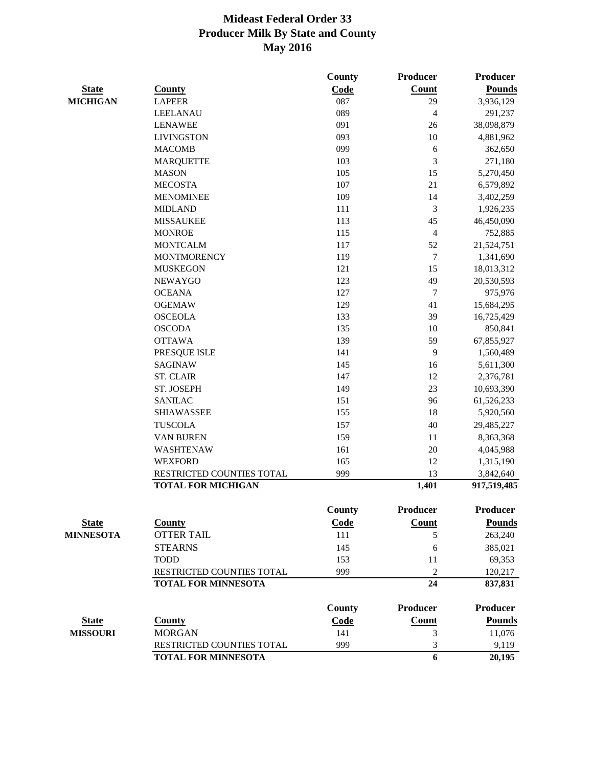|                  |                            | County | Producer         | <b>Producer</b> |
|------------------|----------------------------|--------|------------------|-----------------|
| <b>State</b>     | <b>County</b>              | Code   | Count            | <b>Pounds</b>   |
| <b>MICHIGAN</b>  | <b>LAPEER</b>              | 087    | 29               | 3,936,129       |
|                  | LEELANAU                   | 089    | $\overline{4}$   | 291,237         |
|                  | <b>LENAWEE</b>             | 091    | 26               | 38,098,879      |
|                  | <b>LIVINGSTON</b>          | 093    | 10               | 4,881,962       |
|                  | <b>MACOMB</b>              | 099    | 6                | 362,650         |
|                  | <b>MARQUETTE</b>           | 103    | 3                | 271,180         |
|                  | <b>MASON</b>               | 105    | 15               | 5,270,450       |
|                  | <b>MECOSTA</b>             | 107    | 21               | 6,579,892       |
|                  | <b>MENOMINEE</b>           | 109    | 14               | 3,402,259       |
|                  | <b>MIDLAND</b>             | 111    | 3                | 1,926,235       |
|                  | <b>MISSAUKEE</b>           | 113    | 45               | 46,450,090      |
|                  | <b>MONROE</b>              | 115    | 4                | 752,885         |
|                  | <b>MONTCALM</b>            | 117    | 52               | 21,524,751      |
|                  | <b>MONTMORENCY</b>         | 119    | 7                | 1,341,690       |
|                  | <b>MUSKEGON</b>            | 121    | 15               | 18,013,312      |
|                  | <b>NEWAYGO</b>             | 123    | 49               | 20,530,593      |
|                  | <b>OCEANA</b>              | 127    | $\boldsymbol{7}$ | 975,976         |
|                  | <b>OGEMAW</b>              | 129    | 41               | 15,684,295      |
|                  | <b>OSCEOLA</b>             | 133    | 39               | 16,725,429      |
|                  | <b>OSCODA</b>              | 135    | 10               | 850,841         |
|                  | <b>OTTAWA</b>              | 139    | 59               | 67,855,927      |
|                  | PRESQUE ISLE               | 141    | 9                | 1,560,489       |
|                  | <b>SAGINAW</b>             | 145    | 16               | 5,611,300       |
|                  | <b>ST. CLAIR</b>           | 147    | 12               | 2,376,781       |
|                  | ST. JOSEPH                 | 149    | 23               | 10,693,390      |
|                  | <b>SANILAC</b>             | 151    | 96               | 61,526,233      |
|                  | <b>SHIAWASSEE</b>          | 155    | 18               | 5,920,560       |
|                  | <b>TUSCOLA</b>             | 157    | 40               | 29,485,227      |
|                  | <b>VAN BUREN</b>           | 159    | 11               | 8,363,368       |
|                  | WASHTENAW                  | 161    | 20               | 4,045,988       |
|                  | <b>WEXFORD</b>             | 165    | 12               | 1,315,190       |
|                  | RESTRICTED COUNTIES TOTAL  | 999    | 13               | 3,842,640       |
|                  | <b>TOTAL FOR MICHIGAN</b>  |        | 1,401            | 917,519,485     |
|                  |                            | County | <b>Producer</b>  | Producer        |
| <u>State</u>     | <b>County</b>              | Code   | <b>Count</b>     | <b>Pounds</b>   |
| <b>MINNESOTA</b> | <b>OTTER TAIL</b>          | 111    | 5                | 263,240         |
|                  | <b>STEARNS</b>             | 145    | 6                | 385,021         |
|                  | <b>TODD</b>                | 153    | 11               | 69,353          |
|                  | RESTRICTED COUNTIES TOTAL  | 999    | $\overline{c}$   | 120,217         |
|                  | <b>TOTAL FOR MINNESOTA</b> |        | 24               | 837,831         |
|                  |                            | County | <b>Producer</b>  | <b>Producer</b> |
| <b>State</b>     | <b>County</b>              | Code   | <b>Count</b>     | <b>Pounds</b>   |
| <b>MISSOURI</b>  | <b>MORGAN</b>              | 141    | 3                | 11,076          |
|                  | RESTRICTED COUNTIES TOTAL  | 999    | 3                | 9,119           |
|                  | <b>TOTAL FOR MINNESOTA</b> |        | 6                | 20,195          |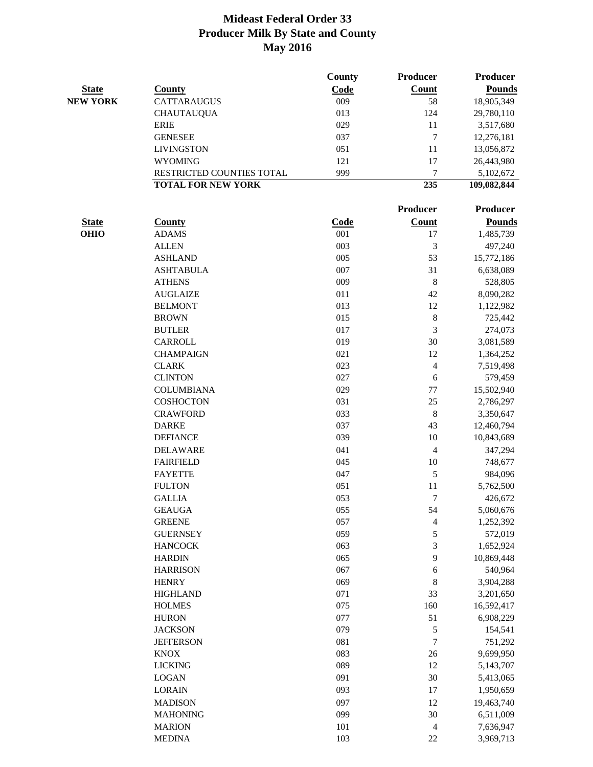|                 |                           | County      | Producer                 | Producer      |
|-----------------|---------------------------|-------------|--------------------------|---------------|
| <b>State</b>    | <b>County</b>             | Code        | <b>Count</b>             | <b>Pounds</b> |
| <b>NEW YORK</b> | CATTARAUGUS               | 009         | 58                       | 18,905,349    |
|                 | <b>CHAUTAUQUA</b>         | 013         | 124                      | 29,780,110    |
|                 | <b>ERIE</b>               | 029         | 11                       | 3,517,680     |
|                 | <b>GENESEE</b>            | 037         | 7                        | 12,276,181    |
|                 | <b>LIVINGSTON</b>         | 051         | 11                       | 13,056,872    |
|                 | <b>WYOMING</b>            | 121         | 17                       | 26,443,980    |
|                 | RESTRICTED COUNTIES TOTAL | 999         | 7                        | 5,102,672     |
|                 | <b>TOTAL FOR NEW YORK</b> |             | 235                      | 109,082,844   |
|                 |                           |             | Producer                 | Producer      |
| <b>State</b>    | <b>County</b>             | <b>Code</b> | Count                    | <b>Pounds</b> |
| <b>OHIO</b>     | <b>ADAMS</b>              | 001         | $17\,$                   | 1,485,739     |
|                 | <b>ALLEN</b>              | 003         | 3                        | 497,240       |
|                 | <b>ASHLAND</b>            | 005         | 53                       | 15,772,186    |
|                 | <b>ASHTABULA</b>          | 007         | 31                       | 6,638,089     |
|                 | <b>ATHENS</b>             | 009         | 8                        | 528,805       |
|                 | <b>AUGLAIZE</b>           | 011         | 42                       | 8,090,282     |
|                 | <b>BELMONT</b>            | 013         | 12                       | 1,122,982     |
|                 | <b>BROWN</b>              | 015         | $\,$ 8 $\,$              | 725,442       |
|                 | <b>BUTLER</b>             | 017         | 3                        | 274,073       |
|                 | CARROLL                   | 019         | 30                       | 3,081,589     |
|                 | <b>CHAMPAIGN</b>          | 021         | 12                       | 1,364,252     |
|                 | <b>CLARK</b>              | 023         | $\overline{\mathcal{L}}$ | 7,519,498     |
|                 | <b>CLINTON</b>            | 027         | 6                        | 579,459       |
|                 | <b>COLUMBIANA</b>         | 029         | 77                       | 15,502,940    |
|                 | <b>COSHOCTON</b>          | 031         | 25                       | 2,786,297     |
|                 | <b>CRAWFORD</b>           | 033         | $\,$ 8 $\,$              | 3,350,647     |
|                 | <b>DARKE</b>              | 037         | 43                       | 12,460,794    |
|                 | <b>DEFIANCE</b>           | 039         | 10                       | 10,843,689    |
|                 | <b>DELAWARE</b>           | 041         | $\overline{4}$           | 347,294       |
|                 | <b>FAIRFIELD</b>          | 045         | $10\,$                   | 748,677       |
|                 | <b>FAYETTE</b>            | 047         | 5                        | 984,096       |
|                 | <b>FULTON</b>             | 051         | 11                       | 5,762,500     |
|                 | <b>GALLIA</b>             | 053         | 7                        | 426,672       |
|                 | <b>GEAUGA</b>             | 055         | 54                       | 5,060,676     |
|                 | <b>GREENE</b>             | 057         | 4                        | 1,252,392     |
|                 | <b>GUERNSEY</b>           | 059         | 5                        | 572,019       |
|                 | <b>HANCOCK</b>            | 063         | 3                        | 1,652,924     |
|                 | <b>HARDIN</b>             | 065         | 9                        | 10,869,448    |
|                 | <b>HARRISON</b>           | 067         | 6                        | 540,964       |
|                 | <b>HENRY</b>              | 069         | 8                        | 3,904,288     |
|                 | <b>HIGHLAND</b>           | 071         | 33                       | 3,201,650     |
|                 | <b>HOLMES</b>             | 075         | 160                      | 16,592,417    |
|                 |                           |             | 51                       |               |
|                 | <b>HURON</b>              | 077         |                          | 6,908,229     |
|                 | <b>JACKSON</b>            | 079         | 5                        | 154,541       |
|                 | <b>JEFFERSON</b>          | 081         | $\overline{7}$           | 751,292       |
|                 | <b>KNOX</b>               | 083         | 26                       | 9,699,950     |
|                 | <b>LICKING</b>            | 089         | 12                       | 5,143,707     |
|                 | <b>LOGAN</b>              | 091         | 30                       | 5,413,065     |
|                 | <b>LORAIN</b>             | 093         | 17                       | 1,950,659     |
|                 | <b>MADISON</b>            | 097         | 12                       | 19,463,740    |
|                 | <b>MAHONING</b>           | 099         | $30\,$                   | 6,511,009     |
|                 | <b>MARION</b>             | 101         | 4                        | 7,636,947     |
|                 | <b>MEDINA</b>             | 103         | 22                       | 3,969,713     |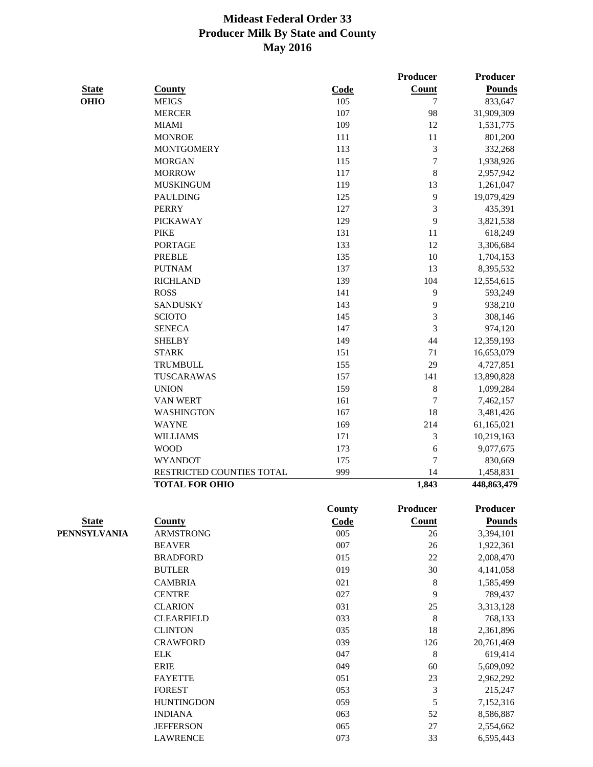| <b>State</b> | <b>County</b>             | Code | <b>Count</b> | <b>Pounds</b> |
|--------------|---------------------------|------|--------------|---------------|
| OHIO         | <b>MEIGS</b>              | 105  | $\tau$       | 833,647       |
|              | <b>MERCER</b>             | 107  | 98           | 31,909,309    |
|              | <b>MIAMI</b>              | 109  | 12           | 1,531,775     |
|              | <b>MONROE</b>             | 111  | 11           | 801,200       |
|              | <b>MONTGOMERY</b>         | 113  | 3            | 332,268       |
|              | <b>MORGAN</b>             | 115  | $\tau$       | 1,938,926     |
|              | <b>MORROW</b>             | 117  | 8            | 2,957,942     |
|              | <b>MUSKINGUM</b>          | 119  | 13           | 1,261,047     |
|              | <b>PAULDING</b>           | 125  | 9            | 19,079,429    |
|              | <b>PERRY</b>              | 127  | 3            | 435,391       |
|              | <b>PICKAWAY</b>           | 129  | 9            | 3,821,538     |
|              | <b>PIKE</b>               | 131  | 11           | 618,249       |
|              | <b>PORTAGE</b>            | 133  | 12           | 3,306,684     |
|              | <b>PREBLE</b>             | 135  | 10           | 1,704,153     |
|              | <b>PUTNAM</b>             | 137  | 13           | 8,395,532     |
|              | <b>RICHLAND</b>           | 139  | 104          | 12,554,615    |
|              | <b>ROSS</b>               | 141  | 9            | 593,249       |
|              | <b>SANDUSKY</b>           | 143  | 9            | 938,210       |
|              | <b>SCIOTO</b>             | 145  | 3            | 308,146       |
|              | <b>SENECA</b>             | 147  | 3            | 974,120       |
|              | <b>SHELBY</b>             | 149  | 44           | 12,359,193    |
|              | <b>STARK</b>              | 151  | 71           | 16,653,079    |
|              | <b>TRUMBULL</b>           | 155  | 29           | 4,727,851     |
|              | TUSCARAWAS                | 157  | 141          | 13,890,828    |
|              | <b>UNION</b>              | 159  | 8            | 1,099,284     |
|              | <b>VAN WERT</b>           | 161  | 7            | 7,462,157     |
|              | <b>WASHINGTON</b>         | 167  | 18           | 3,481,426     |
|              | <b>WAYNE</b>              | 169  | 214          | 61,165,021    |
|              | <b>WILLIAMS</b>           | 171  | 3            | 10,219,163    |
|              | <b>WOOD</b>               | 173  | 6            | 9,077,675     |
|              | <b>WYANDOT</b>            | 175  | 7            | 830,669       |
|              | RESTRICTED COUNTIES TOTAL | 999  | 14           | 1,458,831     |
|              | <b>TOTAL FOR OHIO</b>     |      | 1,843        | 448,863,479   |

**Producer Producer** 

**County Producer Producer** 

| <b>State</b> | County            | Code | Count | Pounds      |
|--------------|-------------------|------|-------|-------------|
| PENNSYLVANIA | <b>ARMSTRONG</b>  | 005  | 26    | 3,394,101   |
|              | <b>BEAVER</b>     | 007  | 26    | 1,922,361   |
|              | <b>BRADFORD</b>   | 015  | 22    | 2,008,470   |
|              | <b>BUTLER</b>     | 019  | 30    | 4, 141, 058 |
|              | <b>CAMBRIA</b>    | 021  | 8     | 1,585,499   |
|              | <b>CENTRE</b>     | 027  | 9     | 789,437     |
|              | <b>CLARION</b>    | 031  | 25    | 3,313,128   |
|              | <b>CLEARFIELD</b> | 033  | 8     | 768,133     |
|              | <b>CLINTON</b>    | 035  | 18    | 2,361,896   |
|              | <b>CRAWFORD</b>   | 039  | 126   | 20,761,469  |
|              | <b>ELK</b>        | 047  | 8     | 619,414     |
|              | <b>ERIE</b>       | 049  | 60    | 5,609,092   |
|              | <b>FAYETTE</b>    | 051  | 23    | 2,962,292   |
|              | <b>FOREST</b>     | 053  | 3     | 215,247     |
|              | <b>HUNTINGDON</b> | 059  | 5     | 7,152,316   |
|              | <b>INDIANA</b>    | 063  | 52    | 8,586,887   |
|              | <b>JEFFERSON</b>  | 065  | 27    | 2,554,662   |
|              | <b>LAWRENCE</b>   | 073  | 33    | 6,595,443   |